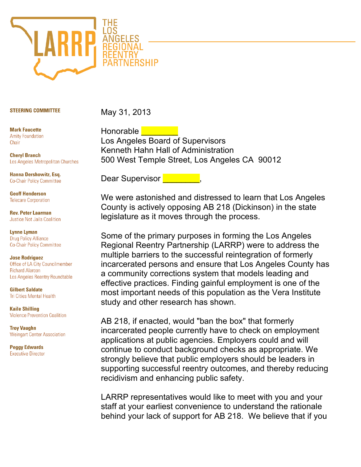

## **STEERING COMMITTEE**

May 31, 2013

**Mark Faucette Amity Foundation** Chair

**Cheryl Branch** Los Angeles Metropolitan Churches

Hanna Dershowitz, Esq. **Co-Chair Policy Committee** 

**Geoff Henderson Telecare Corporation** 

**Rev. Peter Laarman Justice Not Jails Coalition** 

**Lynne Lyman Drug Policy Alliance Co-Chair Policy Committee** 

**Jose Rodriguez** Office of LA City Councilmember **Richard Alarcon** Los Angeles Reentry Roundtable

**Gilbert Saldate Tri Cities Mental Health** 

**Kaile Shilling Violence Prevention Coalition** 

**Troy Vaughn Weingart Center Association** 

**Peggy Edwards Executive Director** 

Honorable | Los Angeles Board of Supervisors Kenneth Hahn Hall of Administration 500 West Temple Street, Los Angeles CA 90012

Dear Supervisor

We were astonished and distressed to learn that Los Angeles County is actively opposing AB 218 (Dickinson) in the state legislature as it moves through the process.

Some of the primary purposes in forming the Los Angeles Regional Reentry Partnership (LARRP) were to address the multiple barriers to the successful reintegration of formerly incarcerated persons and ensure that Los Angeles County has a community corrections system that models leading and effective practices. Finding gainful employment is one of the most important needs of this population as the Vera Institute study and other research has shown.

AB 218, if enacted, would "ban the box" that formerly incarcerated people currently have to check on employment applications at public agencies. Employers could and will continue to conduct background checks as appropriate. We strongly believe that public employers should be leaders in supporting successful reentry outcomes, and thereby reducing recidivism and enhancing public safety.

LARRP representatives would like to meet with you and your staff at your earliest convenience to understand the rationale behind your lack of support for AB 218. We believe that if you